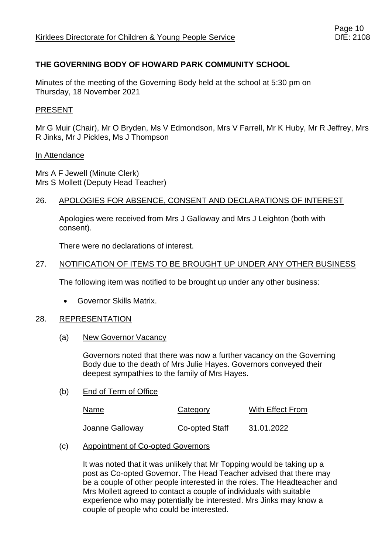# **THE GOVERNING BODY OF HOWARD PARK COMMUNITY SCHOOL**

Minutes of the meeting of the Governing Body held at the school at 5:30 pm on Thursday, 18 November 2021

# PRESENT

Mr G Muir (Chair), Mr O Bryden, Ms V Edmondson, Mrs V Farrell, Mr K Huby, Mr R Jeffrey, Mrs R Jinks, Mr J Pickles, Ms J Thompson

### In Attendance

Mrs A F Jewell (Minute Clerk) Mrs S Mollett (Deputy Head Teacher)

# 26. APOLOGIES FOR ABSENCE, CONSENT AND DECLARATIONS OF INTEREST

Apologies were received from Mrs J Galloway and Mrs J Leighton (both with consent).

There were no declarations of interest.

### 27. NOTIFICATION OF ITEMS TO BE BROUGHT UP UNDER ANY OTHER BUSINESS

The following item was notified to be brought up under any other business:

• Governor Skills Matrix.

### 28. REPRESENTATION

### (a) New Governor Vacancy

Governors noted that there was now a further vacancy on the Governing Body due to the death of Mrs Julie Hayes. Governors conveyed their deepest sympathies to the family of Mrs Hayes.

### (b) End of Term of Office

| Name            | Category       | With Effect From |
|-----------------|----------------|------------------|
| Joanne Galloway | Co-opted Staff | 31.01.2022       |

### (c) Appointment of Co-opted Governors

It was noted that it was unlikely that Mr Topping would be taking up a post as Co-opted Governor. The Head Teacher advised that there may be a couple of other people interested in the roles. The Headteacher and Mrs Mollett agreed to contact a couple of individuals with suitable experience who may potentially be interested. Mrs Jinks may know a couple of people who could be interested.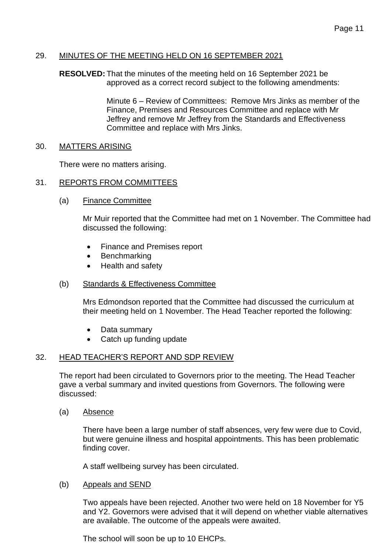# 29. MINUTES OF THE MEETING HELD ON 16 SEPTEMBER 2021

**RESOLVED:** That the minutes of the meeting held on 16 September 2021 be approved as a correct record subject to the following amendments:

> Minute 6 – Review of Committees: Remove Mrs Jinks as member of the Finance, Premises and Resources Committee and replace with Mr Jeffrey and remove Mr Jeffrey from the Standards and Effectiveness Committee and replace with Mrs Jinks.

### 30. MATTERS ARISING

There were no matters arising.

### 31. REPORTS FROM COMMITTEES

(a) Finance Committee

Mr Muir reported that the Committee had met on 1 November. The Committee had discussed the following:

- Finance and Premises report
- Benchmarking
- Health and safety

### (b) Standards & Effectiveness Committee

Mrs Edmondson reported that the Committee had discussed the curriculum at their meeting held on 1 November. The Head Teacher reported the following:

- Data summary
- Catch up funding update

### 32. HEAD TEACHER'S REPORT AND SDP REVIEW

The report had been circulated to Governors prior to the meeting. The Head Teacher gave a verbal summary and invited questions from Governors. The following were discussed:

(a) Absence

There have been a large number of staff absences, very few were due to Covid, but were genuine illness and hospital appointments. This has been problematic finding cover.

A staff wellbeing survey has been circulated.

### (b) Appeals and SEND

Two appeals have been rejected. Another two were held on 18 November for Y5 and Y2. Governors were advised that it will depend on whether viable alternatives are available. The outcome of the appeals were awaited.

The school will soon be up to 10 EHCPs.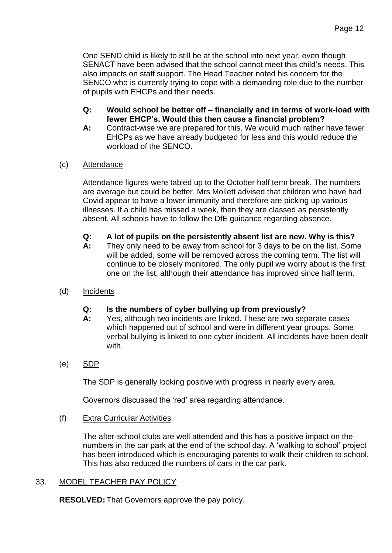One SEND child is likely to still be at the school into next year, even though SENACT have been advised that the school cannot meet this child's needs. This also impacts on staff support. The Head Teacher noted his concern for the SENCO who is currently trying to cope with a demanding role due to the number of pupils with EHCPs and their needs.

- **Q: Would school be better off – financially and in terms of work-load with fewer EHCP's. Would this then cause a financial problem?**
- **A:** Contract-wise we are prepared for this. We would much rather have fewer EHCPs as we have already budgeted for less and this would reduce the workload of the SENCO.
- (c) Attendance

Attendance figures were tabled up to the October half term break. The numbers are average but could be better. Mrs Mollett advised that children who have had Covid appear to have a lower immunity and therefore are picking up various illnesses. If a child has missed a week, then they are classed as persistently absent. All schools have to follow the DfE guidance regarding absence.

- **Q: A lot of pupils on the persistently absent list are new. Why is this?**
- **A:** They only need to be away from school for 3 days to be on the list. Some will be added, some will be removed across the coming term. The list will continue to be closely monitored. The only pupil we worry about is the first one on the list, although their attendance has improved since half term.
- (d) Incidents

# **Q: Is the numbers of cyber bullying up from previously?**

- **A:** Yes, although two incidents are linked. These are two separate cases which happened out of school and were in different year groups. Some verbal bullying is linked to one cyber incident. All incidents have been dealt with.
- (e) SDP

The SDP is generally looking positive with progress in nearly every area.

Governors discussed the 'red' area regarding attendance.

(f) Extra Curricular Activities

The after-school clubs are well attended and this has a positive impact on the numbers in the car park at the end of the school day. A 'walking to school' project has been introduced which is encouraging parents to walk their children to school. This has also reduced the numbers of cars in the car park.

# 33. MODEL TEACHER PAY POLICY

**RESOLVED:** That Governors approve the pay policy.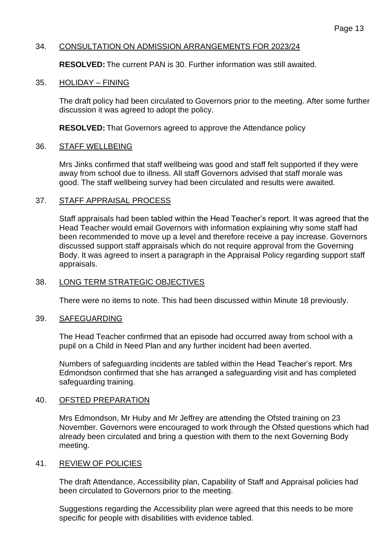# 34. CONSULTATION ON ADMISSION ARRANGEMENTS FOR 2023/24

**RESOLVED:** The current PAN is 30. Further information was still awaited.

### 35. HOLIDAY – FINING

The draft policy had been circulated to Governors prior to the meeting. After some further discussion it was agreed to adopt the policy.

**RESOLVED:** That Governors agreed to approve the Attendance policy

### 36. STAFF WELLBEING

Mrs Jinks confirmed that staff wellbeing was good and staff felt supported if they were away from school due to illness. All staff Governors advised that staff morale was good. The staff wellbeing survey had been circulated and results were awaited.

### 37. STAFF APPRAISAL PROCESS

Staff appraisals had been tabled within the Head Teacher's report. It was agreed that the Head Teacher would email Governors with information explaining why some staff had been recommended to move up a level and therefore receive a pay increase. Governors discussed support staff appraisals which do not require approval from the Governing Body. It was agreed to insert a paragraph in the Appraisal Policy regarding support staff appraisals.

# 38. LONG TERM STRATEGIC OBJECTIVES

There were no items to note. This had been discussed within Minute 18 previously.

### 39. SAFEGUARDING

The Head Teacher confirmed that an episode had occurred away from school with a pupil on a Child in Need Plan and any further incident had been averted.

Numbers of safeguarding incidents are tabled within the Head Teacher's report. Mrs Edmondson confirmed that she has arranged a safeguarding visit and has completed safeguarding training.

### 40. OFSTED PREPARATION

Mrs Edmondson, Mr Huby and Mr Jeffrey are attending the Ofsted training on 23 November. Governors were encouraged to work through the Ofsted questions which had already been circulated and bring a question with them to the next Governing Body meeting.

# 41. REVIEW OF POLICIES

The draft Attendance, Accessibility plan, Capability of Staff and Appraisal policies had been circulated to Governors prior to the meeting.

Suggestions regarding the Accessibility plan were agreed that this needs to be more specific for people with disabilities with evidence tabled.